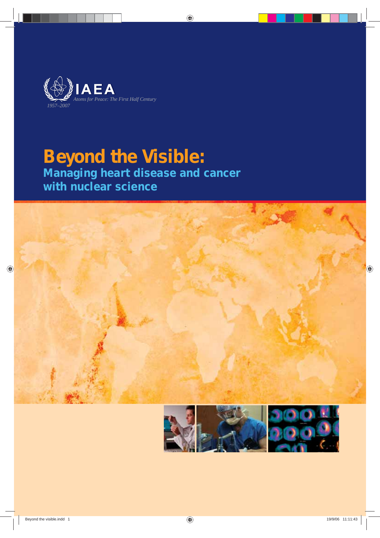

# **Beyond the Visible:**

**Managing heart disease and cancer with nuclear science**



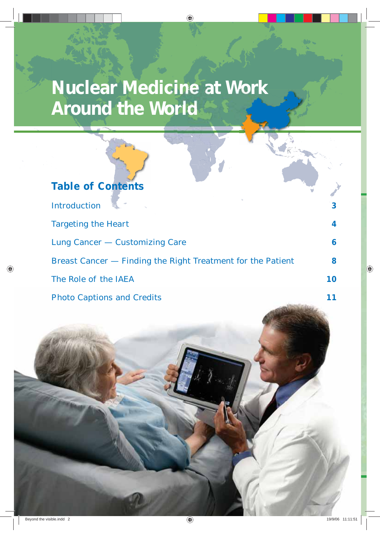# **Nuclear Medicine at Work Around the World**

| <b>Table of Contents</b>                                    |    |
|-------------------------------------------------------------|----|
| Introduction                                                | 3  |
| <b>Targeting the Heart</b>                                  | 4  |
| Lung Cancer - Customizing Care                              | 6  |
| Breast Cancer - Finding the Right Treatment for the Patient | 8  |
| The Role of the IAEA                                        | 10 |
| <b>Photo Captions and Credits</b>                           |    |
|                                                             |    |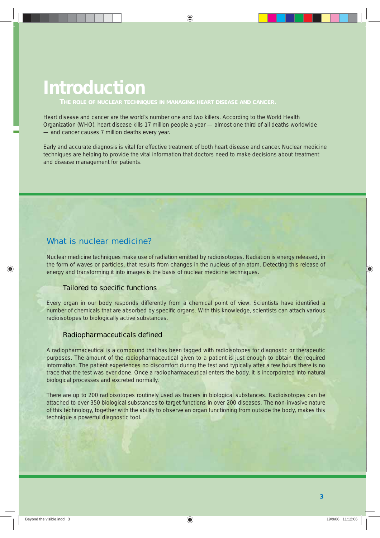# **Introduction**

Heart disease and cancer are the world's number one and two killers. According to the World Health Organization (WHO), heart disease kills 17 million people a year — almost one third of all deaths worldwide — and cancer causes 7 million deaths every year.

Early and accurate diagnosis is vital for effective treatment of both heart disease and cancer. Nuclear medicine techniques are helping to provide the vital information that doctors need to make decisions about treatment and disease management for patients.

## What is nuclear medicine?

Nuclear medicine techniques make use of radiation emitted by radioisotopes. Radiation is energy released, in the form of waves or particles, that results from changes in the nucleus of an atom. Detecting this release of energy and transforming it into images is the basis of nuclear medicine techniques.

## Tailored to specific functions

Every organ in our body responds differently from a chemical point of view. Scientists have identified a number of chemicals that are absorbed by specific organs. With this knowledge, scientists can attach various radioisotopes to biologically active substances.

### Radiopharmaceuticals defined

A radiopharmaceutical is a compound that has been tagged with radioisotopes for diagnostic or therapeutic purposes. The amount of the radiopharmaceutical given to a patient is just enough to obtain the required information. The patient experiences no discomfort during the test and typically after a few hours there is no trace that the test was ever done. Once a radiopharmaceutical enters the body, it is incorporated into natural biological processes and excreted normally.

There are up to 200 radioisotopes routinely used as tracers in biological substances. Radioisotopes can be attached to over 350 biological substances to target functions in over 200 diseases. The non-invasive nature of this technology, together with the ability to observe an organ functioning from outside the body, makes this technique a powerful diagnostic tool.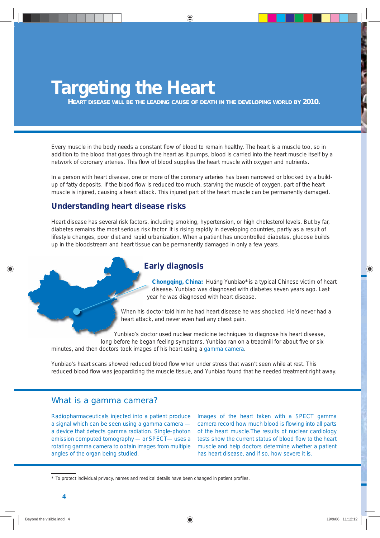# **Targeting the Heart**

*HEART DISEASE WILL BE THE LEADING CAUSE OF DEATH IN THE DEVELOPING WORLD BY 2010.*

Every muscle in the body needs a constant flow of blood to remain healthy. The heart is a muscle too, so in addition to the blood that goes through the heart as it pumps, blood is carried into the heart muscle itself by a network of coronary arteries. This flow of blood supplies the heart muscle with oxygen and nutrients.

In a person with heart disease, one or more of the coronary arteries has been narrowed or blocked by a buildup of fatty deposits. If the blood flow is reduced too much, starving the muscle of oxygen, part of the heart muscle is injured, causing a heart attack. This injured part of the heart muscle can be permanently damaged.

### **Understanding heart disease risks**

Heart disease has several risk factors, including smoking, hypertension, or high cholesterol levels. But by far, diabetes remains the most serious risk factor. It is rising rapidly in developing countries, partly as a result of lifestyle changes, poor diet and rapid urbanization. When a patient has uncontrolled diabetes, glucose builds up in the bloodstream and heart tissue can be permanently damaged in only a few years.

## **Early diagnosis**

**Chongqing, China:** Huáng Yunbiao\* is a typical Chinese victim of heart disease. Yunbiao was diagnosed with diabetes seven years ago. Last year he was diagnosed with heart disease.

When his doctor told him he had heart disease he was shocked. He'd never had a heart attack, and never even had any chest pain.

Yunbiao's doctor used nuclear medicine techniques to diagnose his heart disease, long before he began feeling symptoms. Yunbiao ran on a treadmill for about five or six minutes, and then doctors took images of his heart using a gamma camera.

Yunbiao's heart scans showed reduced blood flow when under stress that wasn't seen while at rest. This reduced blood flow was jeopardizing the muscle tissue, and Yunbiao found that he needed treatment right away.

## What is a gamma camera?

Radiopharmaceuticals injected into a patient produce a signal which can be seen using a gamma camera a device that detects gamma radiation. Single-photon emission computed tomography — or SPECT— uses a rotating gamma camera to obtain images from multiple angles of the organ being studied.

Images of the heart taken with a SPECT gamma camera record how much blood is flowing into all parts of the heart muscle.The results of nuclear cardiology tests show the current status of blood flow to the heart muscle and help doctors determine whether a patient has heart disease, and if so, how severe it is.

<sup>\*</sup> To protect individual privacy, names and medical details have been changed in patient profiles.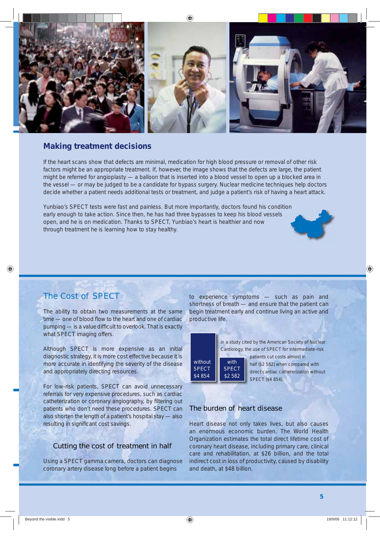

### **Making treatment decisions**

If the heart scans show that defects are minimal, medication for high blood pressure or removal of other risk factors might be an appropriate treatment. If, however, the image shows that the defects are large, the patient might be referred for angioplasty — a balloon that is inserted into a blood vessel to open up a blocked area in the vessel — or may be judged to be a candidate for bypass surgery. Nuclear medicine techniques help doctors decide whether a patient needs additional tests or treatment, and judge a patient's risk of having a heart attack.

Yunbiao's SPECT tests were fast and painless. But more importantly, doctors found his condition early enough to take action. Since then, he has had three bypasses to keep his blood vessels open, and he is on medication. Thanks to SPECT, Yunbiao's heart is healthier and now through treatment he is learning how to stay healthy.



# The Cost of SPECT

The ability to obtain two measurements at the same time — one of blood flow to the heart and one of cardiac pumping — is a value difficult to overlook. That is exactly what SPECT imaging offers.

Although SPECT is more expensive as an initial diagnostic strategy, it is more cost effective because it is more accurate in identifying the severity of the disease and appropriately directing resources.

For low-risk patients, SPECT can avoid unnecessary referrals for very expensive procedures, such as cardiac catheterization or coronary angiography, by filtering out patients who don't need these procedures. SPECT can also shorten the length of a patient's hospital stay — also resulting in significant cost savings.

### Cutting the cost of treatment in half

Using a SPECT gamma camera, doctors can diagnose coronary artery disease long before a patient begins

to experience symptoms — such as pain and shortness of breath — and ensure that the patient can begin treatment early and continue living an active and productive life.



### The burden of heart disease

Heart disease not only takes lives, but also causes an enormous economic burden. The World Health Organization estimates the total direct lifetime cost of coronary heart disease, including primary care, clinical care and rehabilitation, at \$26 billion, and the total indirect cost in loss of productivity, caused by disability and death, at \$48 billion.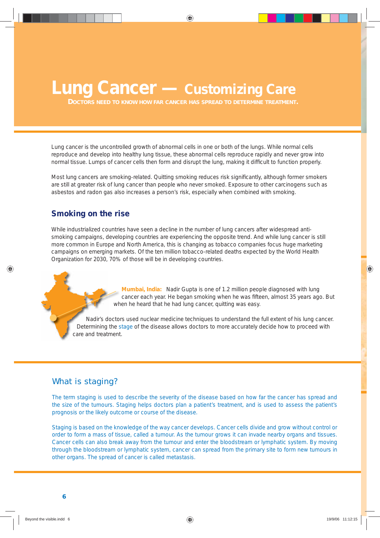# **Lung Cancer — Customizing Care**

*DOCTORS NEED TO KNOW HOW FAR CANCER HAS SPREAD TO DETERMINE TREATMENT.*

Lung cancer is the uncontrolled growth of abnormal cells in one or both of the lungs. While normal cells reproduce and develop into healthy lung tissue, these abnormal cells reproduce rapidly and never grow into normal tissue. Lumps of cancer cells then form and disrupt the lung, making it difficult to function properly.

Most lung cancers are smoking-related. Quitting smoking reduces risk significantly, although former smokers are still at greater risk of lung cancer than people who never smoked. Exposure to other carcinogens such as asbestos and radon gas also increases a person's risk, especially when combined with smoking.

## **Smoking on the rise**

While industrialized countries have seen a decline in the number of lung cancers after widespread antismoking campaigns, developing countries are experiencing the opposite trend. And while lung cancer is still more common in Europe and North America, this is changing as tobacco companies focus huge marketing campaigns on emerging markets. Of the ten million tobacco-related deaths expected by the World Health Organization for 2030, 70% of those will be in developing countries.

> **Mumbai, India:** Nadir Gupta is one of 1.2 million people diagnosed with lung cancer each year. He began smoking when he was fifteen, almost 35 years ago. But when he heard that he had lung cancer, quitting was easy.

Nadir's doctors used nuclear medicine techniques to understand the full extent of his lung cancer. Determining the stage of the disease allows doctors to more accurately decide how to proceed with care and treatment.

# What is staging?

The term staging is used to describe the severity of the disease based on how far the cancer has spread and the size of the tumours. Staging helps doctors plan a patient's treatment, and is used to assess the patient's prognosis or the likely outcome or course of the disease.

Staging is based on the knowledge of the way cancer develops. Cancer cells divide and grow without control or order to form a mass of tissue, called a tumour. As the tumour grows it can invade nearby organs and tissues. Cancer cells can also break away from the tumour and enter the bloodstream or lymphatic system. By moving through the bloodstream or lymphatic system, cancer can spread from the primary site to form new tumours in other organs. The spread of cancer is called metastasis.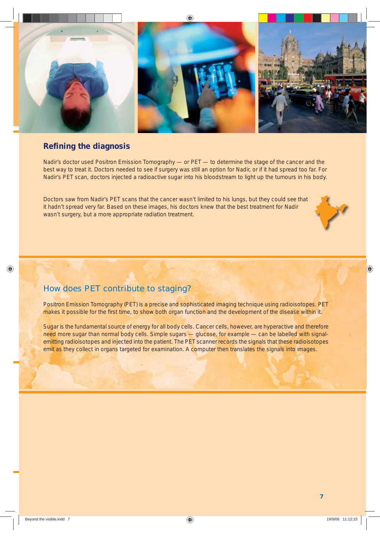

# **Refining the diagnosis**

Nadir's doctor used Positron Emission Tomography — or PET — to determine the stage of the cancer and the best way to treat it. Doctors needed to see if surgery was still an option for Nadir, or if it had spread too far. For Nadir's PET scan, doctors injected a radioactive sugar into his bloodstream to light up the tumours in his body.

Doctors saw from Nadir's PET scans that the cancer wasn't limited to his lungs, but they could see that it hadn't spread very far. Based on these images, his doctors knew that the best treatment for Nadir wasn't surgery, but a more appropriate radiation treatment.

# How does PET contribute to staging?

Positron Emission Tomography (PET) is a precise and sophisticated imaging technique using radioisotopes. PET makes it possible for the first time, to show both organ function and the development of the disease within it.

Sugar is the fundamental source of energy for all body cells. Cancer cells, however, are hyperactive and therefore need more sugar than normal body cells. Simple sugars — glucose, for example — can be labelled with signalemitting radioisotopes and injected into the patient. The PET scanner records the signals that these radioisotopes emit as they collect in organs targeted for examination. A computer then translates the signals into images.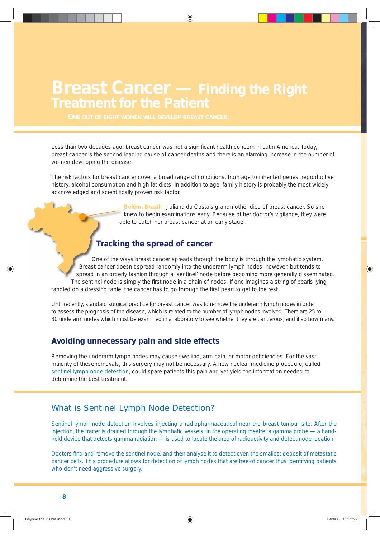# **Breast Cancer — Finding the Right Treatment for the Patient**

Less than two decades ago, breast cancer was not a significant health concern in Latin America. Today, breast cancer is the second leading cause of cancer deaths and there is an alarming increase in the number of women developing the disease.

The risk factors for breast cancer cover a broad range of conditions, from age to inherited genes, reproductive history, alcohol consumption and high fat diets. In addition to age, family history is probably the most widely acknowledged and scientifically proven risk factor.

> **Belém, Brazil:** Juliana da Costa's grandmother died of breast cancer. So she knew to begin examinations early. Because of her doctor's vigilance, they were able to catch her breast cancer at an early stage.

# **Tracking the spread of cancer**

One of the ways breast cancer spreads through the body is through the lymphatic system. Breast cancer doesn't spread randomly into the underarm lymph nodes, however, but tends to spread in an orderly fashion through a 'sentinel' node before becoming more generally disseminated. The sentinel node is simply the first node in a chain of nodes. If one imagines a string of pearls lying tangled on a dressing table, the cancer has to go through the first pearl to get to the rest.

Until recently, standard surgical practice for breast cancer was to remove the underarm lymph nodes in order to assess the prognosis of the disease, which is related to the number of lymph nodes involved. There are 25 to 30 underarm nodes which must be examined in a laboratory to see whether they are cancerous, and if so how many.

# **Avoiding unnecessary pain and side effects**

Removing the underarm lymph nodes may cause swelling, arm pain, or motor deficiencies. For the vast majority of these removals, this surgery may not be necessary. A new nuclear medicine procedure, called sentinel lymph node detection, could spare patients this pain and yet yield the information needed to determine the best treatment.

# What is Sentinel Lymph Node Detection?

Sentinel lymph node detection involves injecting a radiopharmaceutical near the breast tumour site. After the injection, the tracer is drained through the lymphatic vessels. In the operating theatre, a gamma probe — a handheld device that detects gamma radiation — is used to locate the area of radioactivity and detect node location.

Doctors find and remove the sentinel node, and then analyse it to detect even the smallest deposit of metastatic cancer cells. This procedure allows for detection of lymph nodes that are free of cancer thus identifying patients who don't need aggressive surgery.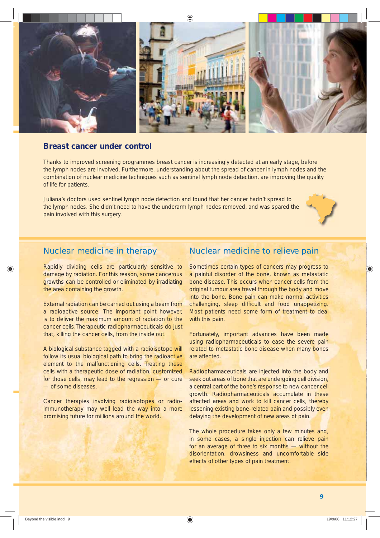

### **Breast cancer under control**

Thanks to improved screening programmes breast cancer is increasingly detected at an early stage, before the lymph nodes are involved. Furthermore, understanding about the spread of cancer in lymph nodes and the combination of nuclear medicine techniques such as sentinel lymph node detection, are improving the quality of life for patients.

Juliana's doctors used sentinel lymph node detection and found that her cancer hadn't spread to the lymph nodes. She didn't need to have the underarm lymph nodes removed, and was spared the pain involved with this surgery.



# Nuclear medicine in therapy

Rapidly dividing cells are particularly sensitive to damage by radiation. For this reason, some cancerous growths can be controlled or eliminated by irradiating the area containing the growth.

External radiation can be carried out using a beam from a radioactive source. The important point however, is to deliver the maximum amount of radiation to the cancer cells.Therapeutic radiopharmaceuticals do just that, killing the cancer cells, from the inside out.

A biological substance tagged with a radioisotope will follow its usual biological path to bring the radioactive element to the malfunctioning cells. Treating these cells with a therapeutic dose of radiation, customized for those cells, may lead to the regression — or cure — of some diseases.

Cancer therapies involving radioisotopes or radioimmunotherapy may well lead the way into a more promising future for millions around the world.

## Nuclear medicine to relieve pain

Sometimes certain types of cancers may progress to a painful disorder of the bone, known as metastatic bone disease. This occurs when cancer cells from the original tumour area travel through the body and move into the bone. Bone pain can make normal activities challenging, sleep difficult and food unappetizing. Most patients need some form of treatment to deal with this pain.

Fortunately, important advances have been made using radiopharmaceuticals to ease the severe pain related to metastatic bone disease when many bones are affected.

Radiopharmaceuticals are injected into the body and seek out areas of bone that are undergoing cell division, a central part of the bone's response to new cancer cell growth. Radiopharmaceuticals accumulate in these affected areas and work to kill cancer cells, thereby lessening existing bone-related pain and possibly even delaying the development of new areas of pain.

The whole procedure takes only a few minutes and, in some cases, a single injection can relieve pain for an average of three to six months — without the disorientation, drowsiness and uncomfortable side effects of other types of pain treatment.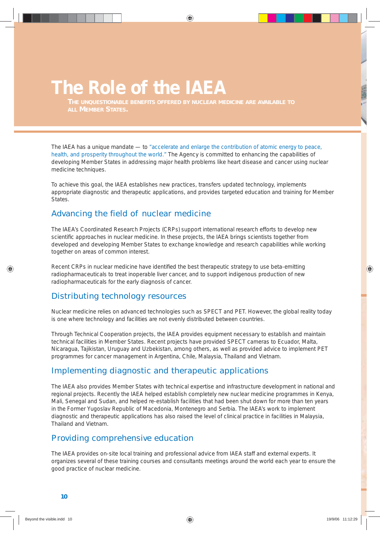# **The Role of the IAEA**

*THE UNQUESTIONABLE BENEFITS OFFERED BY NUCLEAR MEDICINE ARE AVAILABLE TO*

The IAEA has a unique mandate — to *"accelerate and enlarge the contribution of atomic energy to peace, health, and prosperity throughout the world."* The Agency is committed to enhancing the capabilities of developing Member States in addressing major health problems like heart disease and cancer using nuclear medicine techniques.

To achieve this goal, the IAEA establishes new practices, transfers updated technology, implements appropriate diagnostic and therapeutic applications, and provides targeted education and training for Member States.

# Advancing the field of nuclear medicine

The IAEA's Coordinated Research Projects (CRPs) support international research efforts to develop new scientific approaches in nuclear medicine. In these projects, the IAEA brings scientists together from developed and developing Member States to exchange knowledge and research capabilities while working together on areas of common interest.

Recent CRPs in nuclear medicine have identified the best therapeutic strategy to use beta-emitting radiopharmaceuticals to treat inoperable liver cancer, and to support indigenous production of new radiopharmaceuticals for the early diagnosis of cancer.

# Distributing technology resources

Nuclear medicine relies on advanced technologies such as SPECT and PET. However, the global reality today is one where technology and facilities are not evenly distributed between countries.

Through Technical Cooperation projects, the IAEA provides equipment necessary to establish and maintain technical facilities in Member States. Recent projects have provided SPECT cameras to Ecuador, Malta, Nicaragua, Tajikistan, Uruguay and Uzbekistan, among others, as well as provided advice to implement PET programmes for cancer management in Argentina, Chile, Malaysia, Thailand and Vietnam.

## Implementing diagnostic and therapeutic applications

The IAEA also provides Member States with technical expertise and infrastructure development in national and regional projects. Recently the IAEA helped establish completely new nuclear medicine programmes in Kenya, Mali, Senegal and Sudan, and helped re-establish facilities that had been shut down for more than ten years in the Former Yugoslav Republic of Macedonia, Montenegro and Serbia. The IAEA's work to implement diagnostic and therapeutic applications has also raised the level of clinical practice in facilities in Malaysia, Thailand and Vietnam.

# Providing comprehensive education

The IAEA provides on-site local training and professional advice from IAEA staff and external experts. It organizes several of these training courses and consultants meetings around the world each year to ensure the good practice of nuclear medicine.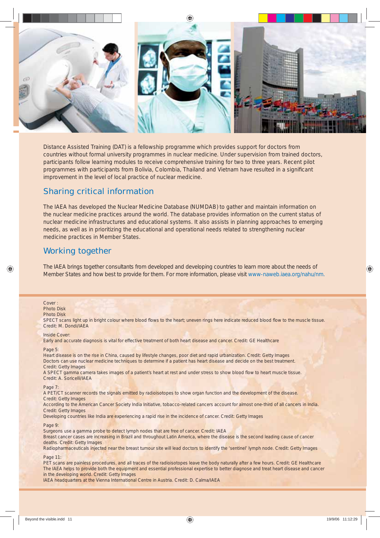

Distance Assisted Training (DAT) is a fellowship programme which provides support for doctors from countries without formal university programmes in nuclear medicine. Under supervision from trained doctors, participants follow learning modules to receive comprehensive training for two to three years. Recent pilot programmes with participants from Bolivia, Colombia, Thailand and Vietnam have resulted in a significant improvement in the level of local practice of nuclear medicine.

# Sharing critical information

The IAEA has developed the Nuclear Medicine Database (NUMDAB) to gather and maintain information on the nuclear medicine practices around the world. The database provides information on the current status of nuclear medicine infrastructures and educational systems. It also assists in planning approaches to emerging needs, as well as in prioritizing the educational and operational needs related to strengthening nuclear medicine practices in Member States.

# Working together

The IAEA brings together consultants from developed and developing countries to learn more about the needs of Member States and how best to provide for them. For more information, please visit *www-naweb.iaea.org/nahu/nm.*

*Cover :* Photo Disk Photo Disk SPECT scans light up in bright colour where blood flows to the heart; uneven rings here indicate reduced blood flow to the muscle tissue. *Credit: M. Dondi/IAEA Inside Cover:* Early and accurate diagnosis is vital for effective treatment of both heart disease and cancer. *Credit: GE Healthcare Page 5*: Heart disease is on the rise in China, caused by lifestyle changes, poor diet and rapid urbanization. *Credit: Getty Images* Doctors can use nuclear medicine techniques to determine if a patient has heart disease and decide on the best treatment. *Credit: Getty Images* A SPECT gamma camera takes images of a patient's heart at rest and under stress to show blood flow to heart muscle tissue. *Credit: A. Soricelli/IAEA Page 7:* A PET/CT scanner records the signals emitted by radioisotopes to show organ function and the development of the disease. *Credit: Getty Images* According to the American Cancer Society India Initiative, tobacco-related cancers account for almost one-third of all cancers in India. *Credit: Getty Images Developing countries like India are experiencing a rapid rise in the incidence of cancer. Credit: Getty Images Page 9:*  Surgeons use a gamma probe to detect lymph nodes that are free of cancer. *Credit: IAEA* Breast cancer cases are increasing in Brazil and throughout Latin America, where the disease is the second leading cause of cancer deaths. *Credit: Getty Images*  Radiopharmaceuticals injected near the breast tumour site will lead doctors to identify the 'sentinel' lymph node. *Credit: Getty Images Page 11:* PET scans are painless procedures, and all traces of the radioisotopes leave the body naturally after a few hours. *Credit: GE Healthcare* The IAEA helps to provide both the equipment and essential professional expertise to better diagnose and treat heart disease and cancer in the developing world. *Credit: Getty Images* 

IAEA headquarters at the Vienna International Centre in Austria*. Credit: D. Calma/IAEA*